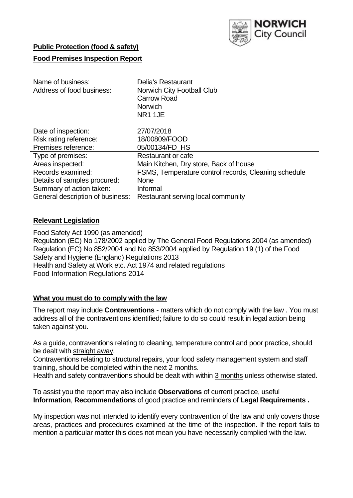

# **Public Protection (food & safety)**

# **Food Premises Inspection Report**

| Name of business:                | <b>Delia's Restaurant</b>                            |  |  |  |  |
|----------------------------------|------------------------------------------------------|--|--|--|--|
| Address of food business:        | Norwich City Football Club                           |  |  |  |  |
|                                  | <b>Carrow Road</b>                                   |  |  |  |  |
|                                  | <b>Norwich</b>                                       |  |  |  |  |
|                                  | NR1 1JE                                              |  |  |  |  |
| Date of inspection:              | 27/07/2018                                           |  |  |  |  |
| Risk rating reference:           | 18/00809/FOOD                                        |  |  |  |  |
| Premises reference:              | 05/00134/FD HS                                       |  |  |  |  |
| Type of premises:                | Restaurant or cafe                                   |  |  |  |  |
| Areas inspected:                 | Main Kitchen, Dry store, Back of house               |  |  |  |  |
| Records examined:                | FSMS, Temperature control records, Cleaning schedule |  |  |  |  |
| Details of samples procured:     | <b>None</b>                                          |  |  |  |  |
| Summary of action taken:         | Informal                                             |  |  |  |  |
| General description of business: | Restaurant serving local community                   |  |  |  |  |

# **Relevant Legislation**

Food Safety Act 1990 (as amended) Regulation (EC) No 178/2002 applied by The General Food Regulations 2004 (as amended) Regulation (EC) No 852/2004 and No 853/2004 applied by Regulation 19 (1) of the Food Safety and Hygiene (England) Regulations 2013 Health and Safety at Work etc. Act 1974 and related regulations Food Information Regulations 2014

## **What you must do to comply with the law**

The report may include **Contraventions** - matters which do not comply with the law . You must address all of the contraventions identified; failure to do so could result in legal action being taken against you.

As a guide, contraventions relating to cleaning, temperature control and poor practice, should be dealt with straight away.

Contraventions relating to structural repairs, your food safety management system and staff training, should be completed within the next 2 months.

Health and safety contraventions should be dealt with within 3 months unless otherwise stated.

To assist you the report may also include **Observations** of current practice, useful **Information**, **Recommendations** of good practice and reminders of **Legal Requirements .**

My inspection was not intended to identify every contravention of the law and only covers those areas, practices and procedures examined at the time of the inspection. If the report fails to mention a particular matter this does not mean you have necessarily complied with the law.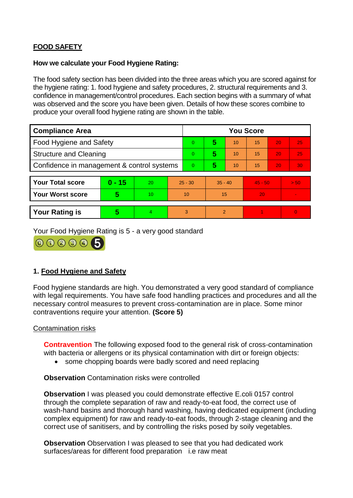# **FOOD SAFETY**

## **How we calculate your Food Hygiene Rating:**

The food safety section has been divided into the three areas which you are scored against for the hygiene rating: 1. food hygiene and safety procedures, 2. structural requirements and 3. confidence in management/control procedures. Each section begins with a summary of what was observed and the score you have been given. Details of how these scores combine to produce your overall food hygiene rating are shown in the table.

| <b>Compliance Area</b>                     |          |    |                | <b>You Score</b> |           |    |           |    |                |  |  |
|--------------------------------------------|----------|----|----------------|------------------|-----------|----|-----------|----|----------------|--|--|
| Food Hygiene and Safety                    |          |    |                | $\Omega$         | 5         | 10 | 15        | 20 | 25             |  |  |
| <b>Structure and Cleaning</b>              |          |    | $\overline{0}$ | 5                | 10        | 15 | 20        | 25 |                |  |  |
| Confidence in management & control systems |          |    | $\overline{0}$ | 5                | 10        | 15 | 20        | 30 |                |  |  |
|                                            |          |    |                |                  |           |    |           |    |                |  |  |
| <b>Your Total score</b>                    | $0 - 15$ | 20 | $25 - 30$      |                  | $35 - 40$ |    | $45 - 50$ |    | > 50           |  |  |
| Your Worst score                           | 5        | 10 | 10             |                  | 15        |    | 20        |    |                |  |  |
|                                            |          |    |                |                  |           |    |           |    |                |  |  |
| <b>Your Rating is</b>                      | 5        | 4. | 3              |                  | 2         |    |           |    | $\overline{0}$ |  |  |

Your Food Hygiene Rating is 5 - a very good standard



# **1. Food Hygiene and Safety**

Food hygiene standards are high. You demonstrated a very good standard of compliance with legal requirements. You have safe food handling practices and procedures and all the necessary control measures to prevent cross-contamination are in place. Some minor contraventions require your attention. **(Score 5)**

## Contamination risks

**Contravention** The following exposed food to the general risk of cross-contamination with bacteria or allergens or its physical contamination with dirt or foreign objects:

• some chopping boards were badly scored and need replacing

**Observation** Contamination risks were controlled

**Observation** I was pleased you could demonstrate effective E.coli 0157 control through the complete separation of raw and ready-to-eat food, the correct use of wash-hand basins and thorough hand washing, having dedicated equipment (including complex equipment) for raw and ready-to-eat foods, through 2-stage cleaning and the correct use of sanitisers, and by controlling the risks posed by soily vegetables.

**Observation** Observation I was pleased to see that you had dedicated work surfaces/areas for different food preparation i.e raw meat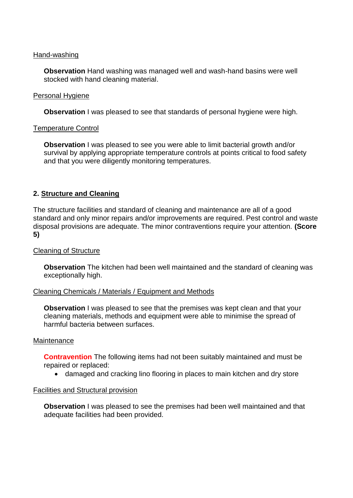### Hand-washing

**Observation** Hand washing was managed well and wash-hand basins were well stocked with hand cleaning material.

### Personal Hygiene

**Observation** I was pleased to see that standards of personal hygiene were high.

### Temperature Control

**Observation** I was pleased to see you were able to limit bacterial growth and/or survival by applying appropriate temperature controls at points critical to food safety and that you were diligently monitoring temperatures.

## **2. Structure and Cleaning**

The structure facilities and standard of cleaning and maintenance are all of a good standard and only minor repairs and/or improvements are required. Pest control and waste disposal provisions are adequate. The minor contraventions require your attention. **(Score 5)**

## Cleaning of Structure

**Observation** The kitchen had been well maintained and the standard of cleaning was exceptionally high.

#### Cleaning Chemicals / Materials / Equipment and Methods

**Observation** I was pleased to see that the premises was kept clean and that your cleaning materials, methods and equipment were able to minimise the spread of harmful bacteria between surfaces.

#### Maintenance

**Contravention** The following items had not been suitably maintained and must be repaired or replaced:

damaged and cracking lino flooring in places to main kitchen and dry store

#### Facilities and Structural provision

**Observation** I was pleased to see the premises had been well maintained and that adequate facilities had been provided.